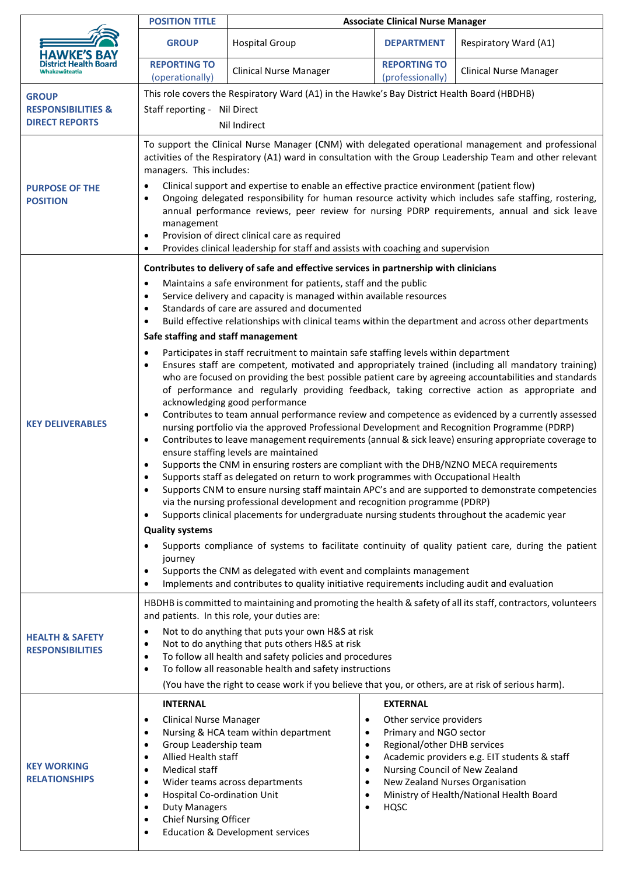|                                                                        | <b>POSITION TITLE</b>                                                                                                                                                                                                                                                                                                                                                                                                                                                                                                                                                                                                                                                                                                                                    | <b>Associate Clinical Nurse Manager</b>                                                                                                                                                                                                                                                                                                                                                                                                                                                                                                                                                                                                                                                                                                                                                                                                                                                                                                                                                                                                                                                                                                                                                      |                                                                                                                                               |                                                                                                                                                                                                                                                                                                                                                                                                                                                                                                                                                                                                                                                                                                                                       |
|------------------------------------------------------------------------|----------------------------------------------------------------------------------------------------------------------------------------------------------------------------------------------------------------------------------------------------------------------------------------------------------------------------------------------------------------------------------------------------------------------------------------------------------------------------------------------------------------------------------------------------------------------------------------------------------------------------------------------------------------------------------------------------------------------------------------------------------|----------------------------------------------------------------------------------------------------------------------------------------------------------------------------------------------------------------------------------------------------------------------------------------------------------------------------------------------------------------------------------------------------------------------------------------------------------------------------------------------------------------------------------------------------------------------------------------------------------------------------------------------------------------------------------------------------------------------------------------------------------------------------------------------------------------------------------------------------------------------------------------------------------------------------------------------------------------------------------------------------------------------------------------------------------------------------------------------------------------------------------------------------------------------------------------------|-----------------------------------------------------------------------------------------------------------------------------------------------|---------------------------------------------------------------------------------------------------------------------------------------------------------------------------------------------------------------------------------------------------------------------------------------------------------------------------------------------------------------------------------------------------------------------------------------------------------------------------------------------------------------------------------------------------------------------------------------------------------------------------------------------------------------------------------------------------------------------------------------|
| <b>HAWKE'S</b><br>District Health Board<br>Whakawāteatia               | <b>GROUP</b>                                                                                                                                                                                                                                                                                                                                                                                                                                                                                                                                                                                                                                                                                                                                             | <b>Hospital Group</b>                                                                                                                                                                                                                                                                                                                                                                                                                                                                                                                                                                                                                                                                                                                                                                                                                                                                                                                                                                                                                                                                                                                                                                        | <b>DEPARTMENT</b>                                                                                                                             | Respiratory Ward (A1)                                                                                                                                                                                                                                                                                                                                                                                                                                                                                                                                                                                                                                                                                                                 |
|                                                                        | <b>REPORTING TO</b><br>(operationally)                                                                                                                                                                                                                                                                                                                                                                                                                                                                                                                                                                                                                                                                                                                   | <b>Clinical Nurse Manager</b>                                                                                                                                                                                                                                                                                                                                                                                                                                                                                                                                                                                                                                                                                                                                                                                                                                                                                                                                                                                                                                                                                                                                                                | <b>REPORTING TO</b><br>(professionally)                                                                                                       | <b>Clinical Nurse Manager</b>                                                                                                                                                                                                                                                                                                                                                                                                                                                                                                                                                                                                                                                                                                         |
| <b>GROUP</b><br><b>RESPONSIBILITIES &amp;</b><br><b>DIRECT REPORTS</b> | This role covers the Respiratory Ward (A1) in the Hawke's Bay District Health Board (HBDHB)<br>Staff reporting - Nil Direct<br>Nil Indirect                                                                                                                                                                                                                                                                                                                                                                                                                                                                                                                                                                                                              |                                                                                                                                                                                                                                                                                                                                                                                                                                                                                                                                                                                                                                                                                                                                                                                                                                                                                                                                                                                                                                                                                                                                                                                              |                                                                                                                                               |                                                                                                                                                                                                                                                                                                                                                                                                                                                                                                                                                                                                                                                                                                                                       |
| <b>PURPOSE OF THE</b><br><b>POSITION</b>                               | To support the Clinical Nurse Manager (CNM) with delegated operational management and professional<br>activities of the Respiratory (A1) ward in consultation with the Group Leadership Team and other relevant<br>managers. This includes:<br>Clinical support and expertise to enable an effective practice environment (patient flow)<br>$\bullet$<br>Ongoing delegated responsibility for human resource activity which includes safe staffing, rostering,<br>$\bullet$<br>annual performance reviews, peer review for nursing PDRP requirements, annual and sick leave<br>management<br>Provision of direct clinical care as required<br>$\bullet$<br>Provides clinical leadership for staff and assists with coaching and supervision<br>$\bullet$ |                                                                                                                                                                                                                                                                                                                                                                                                                                                                                                                                                                                                                                                                                                                                                                                                                                                                                                                                                                                                                                                                                                                                                                                              |                                                                                                                                               |                                                                                                                                                                                                                                                                                                                                                                                                                                                                                                                                                                                                                                                                                                                                       |
| <b>KEY DELIVERABLES</b>                                                | $\bullet$<br>٠<br>$\bullet$<br>$\bullet$<br>Safe staffing and staff management<br>$\bullet$<br>$\bullet$<br>$\bullet$<br>$\bullet$<br>$\bullet$<br>٠<br>$\bullet$<br><b>Quality systems</b><br>$\bullet$<br>journey<br>$\bullet$<br>$\bullet$                                                                                                                                                                                                                                                                                                                                                                                                                                                                                                            | Contributes to delivery of safe and effective services in partnership with clinicians<br>Maintains a safe environment for patients, staff and the public<br>Service delivery and capacity is managed within available resources<br>Standards of care are assured and documented<br>Build effective relationships with clinical teams within the department and across other departments<br>Participates in staff recruitment to maintain safe staffing levels within department<br>acknowledging good performance<br>nursing portfolio via the approved Professional Development and Recognition Programme (PDRP)<br>ensure staffing levels are maintained<br>Supports the CNM in ensuring rosters are compliant with the DHB/NZNO MECA requirements<br>Supports staff as delegated on return to work programmes with Occupational Health<br>via the nursing professional development and recognition programme (PDRP)<br>Supports clinical placements for undergraduate nursing students throughout the academic year<br>Supports the CNM as delegated with event and complaints management<br>Implements and contributes to quality initiative requirements including audit and evaluation |                                                                                                                                               | Ensures staff are competent, motivated and appropriately trained (including all mandatory training)<br>who are focused on providing the best possible patient care by agreeing accountabilities and standards<br>of performance and regularly providing feedback, taking corrective action as appropriate and<br>Contributes to team annual performance review and competence as evidenced by a currently assessed<br>Contributes to leave management requirements (annual & sick leave) ensuring appropriate coverage to<br>Supports CNM to ensure nursing staff maintain APC's and are supported to demonstrate competencies<br>Supports compliance of systems to facilitate continuity of quality patient care, during the patient |
| <b>HEALTH &amp; SAFETY</b><br><b>RESPONSIBILITIES</b>                  | HBDHB is committed to maintaining and promoting the health & safety of all its staff, contractors, volunteers<br>and patients. In this role, your duties are:<br>Not to do anything that puts your own H&S at risk<br>$\bullet$<br>Not to do anything that puts others H&S at risk<br>$\bullet$<br>To follow all health and safety policies and procedures<br>$\bullet$<br>To follow all reasonable health and safety instructions<br>$\bullet$<br>(You have the right to cease work if you believe that you, or others, are at risk of serious harm).                                                                                                                                                                                                   |                                                                                                                                                                                                                                                                                                                                                                                                                                                                                                                                                                                                                                                                                                                                                                                                                                                                                                                                                                                                                                                                                                                                                                                              |                                                                                                                                               |                                                                                                                                                                                                                                                                                                                                                                                                                                                                                                                                                                                                                                                                                                                                       |
| <b>KEY WORKING</b><br><b>RELATIONSHIPS</b>                             | <b>INTERNAL</b><br><b>Clinical Nurse Manager</b><br>$\bullet$<br>$\bullet$<br>Group Leadership team<br>$\bullet$<br>Allied Health staff<br>$\bullet$<br>Medical staff<br>$\bullet$<br>$\bullet$<br>Hospital Co-ordination Unit<br>$\bullet$<br><b>Duty Managers</b><br>$\bullet$<br>Chief Nursing Officer<br>$\bullet$<br>$\bullet$                                                                                                                                                                                                                                                                                                                                                                                                                      | $\bullet$<br>Nursing & HCA team within department<br>$\bullet$<br>$\bullet$<br>$\bullet$<br>$\bullet$<br>Wider teams across departments<br>$\bullet$<br>$\bullet$<br>$\bullet$<br><b>Education &amp; Development services</b>                                                                                                                                                                                                                                                                                                                                                                                                                                                                                                                                                                                                                                                                                                                                                                                                                                                                                                                                                                | <b>EXTERNAL</b><br>Other service providers<br>Primary and NGO sector<br>Regional/other DHB services<br>Nursing Council of New Zealand<br>HQSC | Academic providers e.g. EIT students & staff<br>New Zealand Nurses Organisation<br>Ministry of Health/National Health Board                                                                                                                                                                                                                                                                                                                                                                                                                                                                                                                                                                                                           |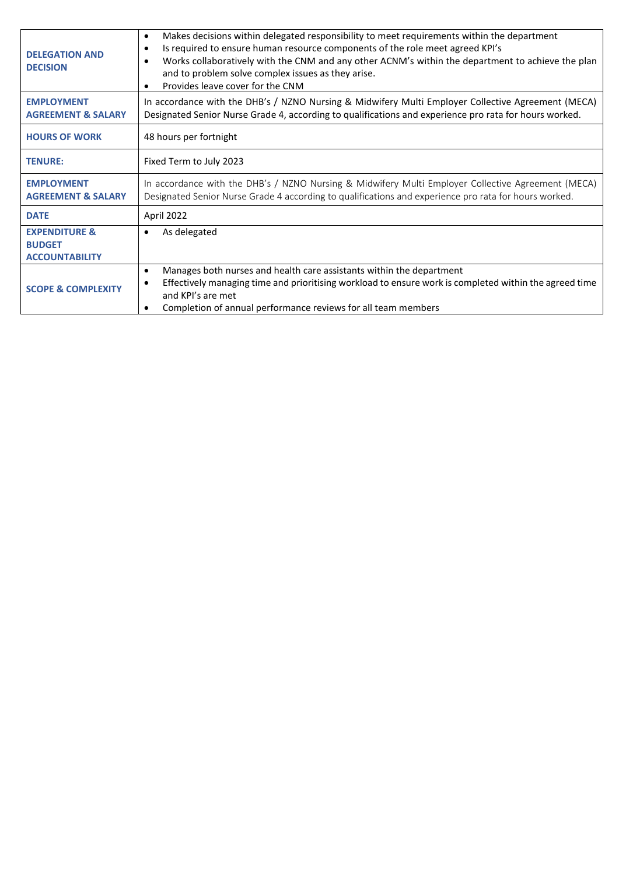| <b>DELEGATION AND</b><br><b>DECISION</b>                           | Makes decisions within delegated responsibility to meet requirements within the department<br>$\bullet$<br>Is required to ensure human resource components of the role meet agreed KPI's<br>٠<br>Works collaboratively with the CNM and any other ACNM's within the department to achieve the plan<br>٠<br>and to problem solve complex issues as they arise.<br>Provides leave cover for the CNM<br>$\bullet$ |  |  |
|--------------------------------------------------------------------|----------------------------------------------------------------------------------------------------------------------------------------------------------------------------------------------------------------------------------------------------------------------------------------------------------------------------------------------------------------------------------------------------------------|--|--|
| <b>EMPLOYMENT</b><br><b>AGREEMENT &amp; SALARY</b>                 | In accordance with the DHB's / NZNO Nursing & Midwifery Multi Employer Collective Agreement (MECA)<br>Designated Senior Nurse Grade 4, according to qualifications and experience pro rata for hours worked.                                                                                                                                                                                                   |  |  |
| <b>HOURS OF WORK</b>                                               | 48 hours per fortnight                                                                                                                                                                                                                                                                                                                                                                                         |  |  |
| <b>TENURE:</b>                                                     | Fixed Term to July 2023                                                                                                                                                                                                                                                                                                                                                                                        |  |  |
| <b>EMPLOYMENT</b><br><b>AGREEMENT &amp; SALARY</b>                 | In accordance with the DHB's / NZNO Nursing & Midwifery Multi Employer Collective Agreement (MECA)<br>Designated Senior Nurse Grade 4 according to qualifications and experience pro rata for hours worked.                                                                                                                                                                                                    |  |  |
| <b>DATE</b>                                                        | April 2022                                                                                                                                                                                                                                                                                                                                                                                                     |  |  |
| <b>EXPENDITURE &amp;</b><br><b>BUDGET</b><br><b>ACCOUNTABILITY</b> | As delegated                                                                                                                                                                                                                                                                                                                                                                                                   |  |  |
| <b>SCOPE &amp; COMPLEXITY</b>                                      | Manages both nurses and health care assistants within the department<br>$\bullet$<br>Effectively managing time and prioritising workload to ensure work is completed within the agreed time<br>٠<br>and KPI's are met<br>Completion of annual performance reviews for all team members<br>٠                                                                                                                    |  |  |